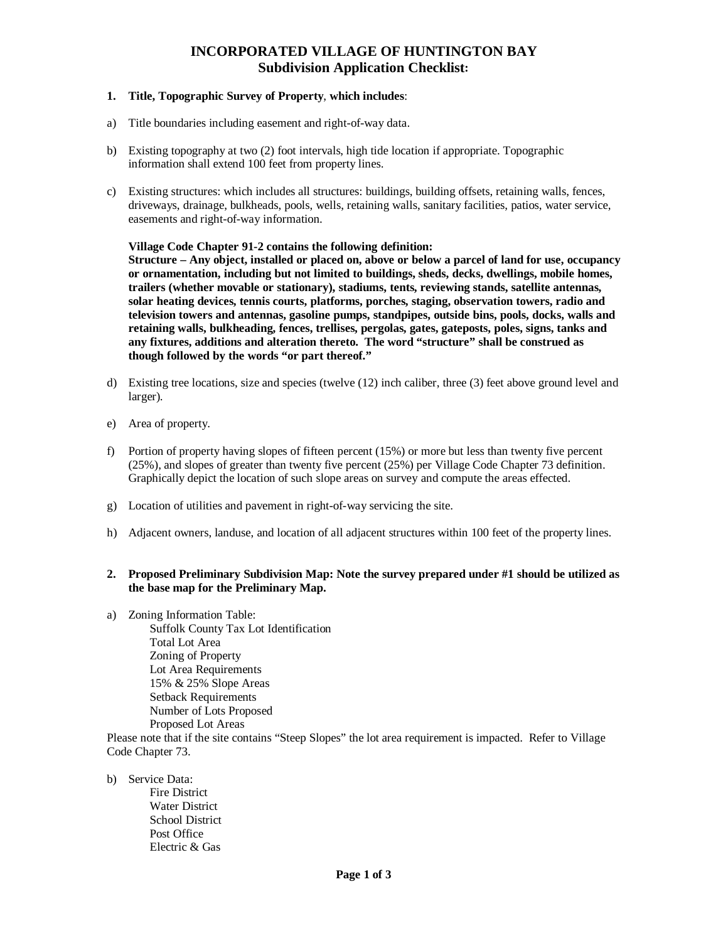# **INCORPORATED VILLAGE OF HUNTINGTON BAY Subdivision Application Checklist:**

### **1. Title, Topographic Survey of Property**, **which includes**:

- a) Title boundaries including easement and right-of-way data.
- b) Existing topography at two (2) foot intervals, high tide location if appropriate. Topographic information shall extend 100 feet from property lines.
- c) Existing structures: which includes all structures: buildings, building offsets, retaining walls, fences, driveways, drainage, bulkheads, pools, wells, retaining walls, sanitary facilities, patios, water service, easements and right-of-way information.

#### **Village Code Chapter 91-2 contains the following definition:**

**Structure – Any object, installed or placed on, above or below a parcel of land for use, occupancy or ornamentation, including but not limited to buildings, sheds, decks, dwellings, mobile homes, trailers (whether movable or stationary), stadiums, tents, reviewing stands, satellite antennas, solar heating devices, tennis courts, platforms, porches, staging, observation towers, radio and television towers and antennas, gasoline pumps, standpipes, outside bins, pools, docks, walls and retaining walls, bulkheading, fences, trellises, pergolas, gates, gateposts, poles, signs, tanks and any fixtures, additions and alteration thereto. The word "structure" shall be construed as though followed by the words "or part thereof."** 

- d) Existing tree locations, size and species (twelve (12) inch caliber, three (3) feet above ground level and larger).
- e) Area of property.
- f) Portion of property having slopes of fifteen percent (15%) or more but less than twenty five percent (25%), and slopes of greater than twenty five percent (25%) per Village Code Chapter 73 definition. Graphically depict the location of such slope areas on survey and compute the areas effected.
- g) Location of utilities and pavement in right-of-way servicing the site.
- h) Adjacent owners, landuse, and location of all adjacent structures within 100 feet of the property lines.

#### **2. Proposed Preliminary Subdivision Map: Note the survey prepared under #1 should be utilized as the base map for the Preliminary Map.**

a) Zoning Information Table: Suffolk County Tax Lot Identification Total Lot Area Zoning of Property Lot Area Requirements 15% & 25% Slope Areas Setback Requirements Number of Lots Proposed Proposed Lot Areas

Please note that if the site contains "Steep Slopes" the lot area requirement is impacted. Refer to Village Code Chapter 73.

- b) Service Data:
	- Fire District Water District School District Post Office Electric & Gas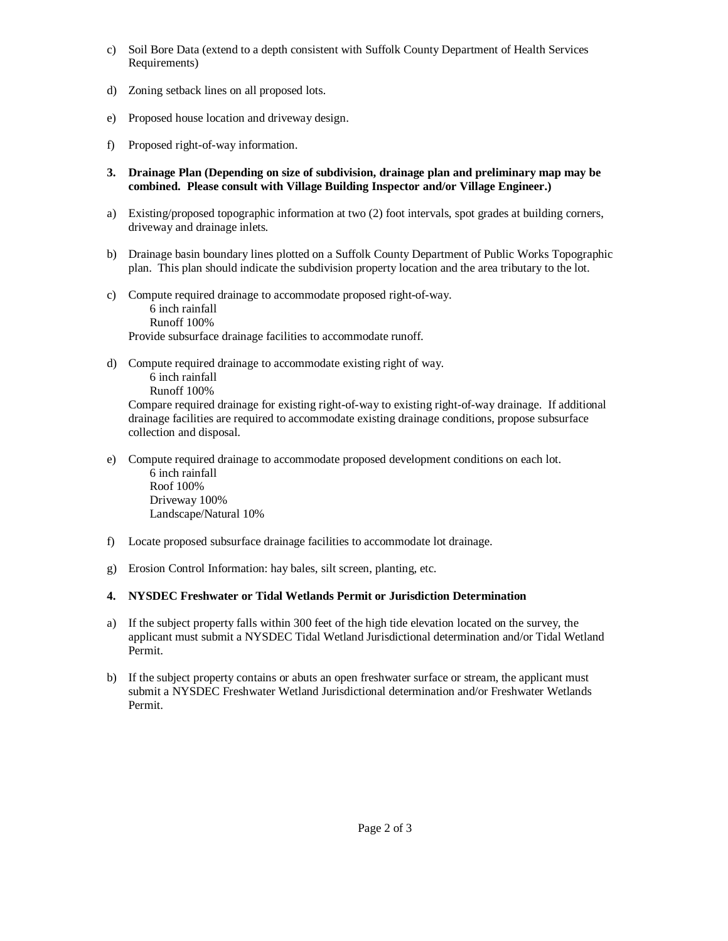- c) Soil Bore Data (extend to a depth consistent with Suffolk County Department of Health Services Requirements)
- d) Zoning setback lines on all proposed lots.
- e) Proposed house location and driveway design.
- f) Proposed right-of-way information.
- **3. Drainage Plan (Depending on size of subdivision, drainage plan and preliminary map may be combined. Please consult with Village Building Inspector and/or Village Engineer.)**
- a) Existing/proposed topographic information at two (2) foot intervals, spot grades at building corners, driveway and drainage inlets.
- b) Drainage basin boundary lines plotted on a Suffolk County Department of Public Works Topographic plan. This plan should indicate the subdivision property location and the area tributary to the lot.
- c) Compute required drainage to accommodate proposed right-of-way. 6 inch rainfall Runoff 100% Provide subsurface drainage facilities to accommodate runoff.
- d) Compute required drainage to accommodate existing right of way. 6 inch rainfall Runoff 100%

Compare required drainage for existing right-of-way to existing right-of-way drainage. If additional drainage facilities are required to accommodate existing drainage conditions, propose subsurface collection and disposal.

- e) Compute required drainage to accommodate proposed development conditions on each lot. 6 inch rainfall Roof 100% Driveway 100% Landscape/Natural 10%
- f) Locate proposed subsurface drainage facilities to accommodate lot drainage.
- g) Erosion Control Information: hay bales, silt screen, planting, etc.

## **4. NYSDEC Freshwater or Tidal Wetlands Permit or Jurisdiction Determination**

- a) If the subject property falls within 300 feet of the high tide elevation located on the survey, the applicant must submit a NYSDEC Tidal Wetland Jurisdictional determination and/or Tidal Wetland Permit.
- b) If the subject property contains or abuts an open freshwater surface or stream, the applicant must submit a NYSDEC Freshwater Wetland Jurisdictional determination and/or Freshwater Wetlands Permit.